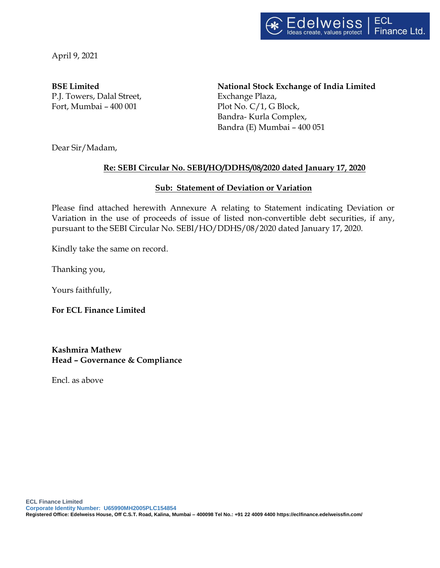

April 9, 2021

P.J. Towers, Dalal Street, Exchange Plaza, Fort, Mumbai – 400 001 Plot No. C/1, G Block,

**BSE Limited National Stock Exchange of India Limited** Bandra- Kurla Complex, Bandra (E) Mumbai – 400 051

Dear Sir/Madam,

## **Re: SEBI Circular No. SEBI/HO/DDHS/08/2020 dated January 17, 2020**

## **Sub: Statement of Deviation or Variation**

Please find attached herewith Annexure A relating to Statement indicating Deviation or Variation in the use of proceeds of issue of listed non-convertible debt securities, if any, pursuant to the SEBI Circular No. SEBI/HO/DDHS/08/2020 dated January 17, 2020.

Kindly take the same on record.

Thanking you,

Yours faithfully,

**For ECL Finance Limited**

**Kashmira Mathew Head – Governance & Compliance** 

Encl. as above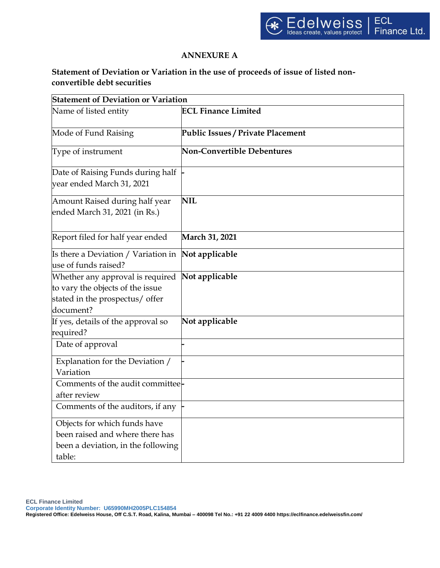## **ANNEXURE A**

## **Statement of Deviation or Variation in the use of proceeds of issue of listed nonconvertible debt securities**

| <b>Statement of Deviation or Variation</b>                                                                           |                                          |  |  |  |
|----------------------------------------------------------------------------------------------------------------------|------------------------------------------|--|--|--|
| Name of listed entity                                                                                                | <b>ECL Finance Limited</b>               |  |  |  |
| Mode of Fund Raising                                                                                                 | <b>Public Issues / Private Placement</b> |  |  |  |
| Type of instrument                                                                                                   | <b>Non-Convertible Debentures</b>        |  |  |  |
| Date of Raising Funds during half<br>vear ended March 31, 2021                                                       |                                          |  |  |  |
| Amount Raised during half year<br>ended March 31, 2021 (in Rs.)                                                      | <b>NIL</b>                               |  |  |  |
| Report filed for half year ended                                                                                     | March 31, 2021                           |  |  |  |
| Is there a Deviation / Variation in<br>use of funds raised?                                                          | Not applicable                           |  |  |  |
| Whether any approval is required<br>to vary the objects of the issue<br>stated in the prospectus/ offer<br>document? | Not applicable                           |  |  |  |
| If yes, details of the approval so<br>required?                                                                      | Not applicable                           |  |  |  |
| Date of approval                                                                                                     |                                          |  |  |  |
| Explanation for the Deviation /<br>Variation                                                                         |                                          |  |  |  |
| Comments of the audit committee-<br>after review                                                                     |                                          |  |  |  |
| Comments of the auditors, if any                                                                                     |                                          |  |  |  |
| Objects for which funds have<br>been raised and where there has<br>been a deviation, in the following<br>table:      |                                          |  |  |  |

**ECL Finance Limited**

**Corporate Identity Number: U65990MH2005PLC154854**

**Registered Office: Edelweiss House, Off C.S.T. Road, Kalina, Mumbai – 400098 Tel No.: +91 22 4009 4400 https://eclfinance.edelweissfin.com/**